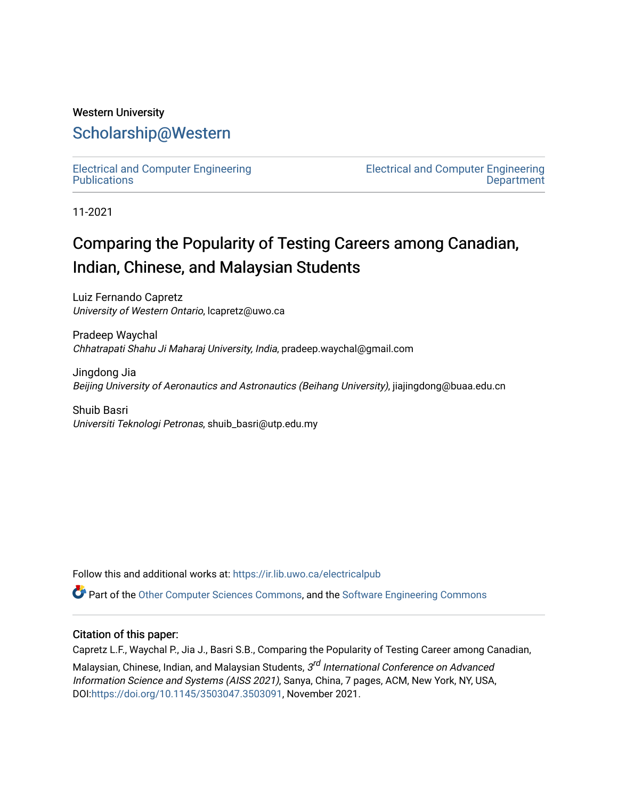# Western University [Scholarship@Western](https://ir.lib.uwo.ca/)

[Electrical and Computer Engineering](https://ir.lib.uwo.ca/electricalpub) **Publications** 

[Electrical and Computer Engineering](https://ir.lib.uwo.ca/electrical)  **Department** 

11-2021

# Comparing the Popularity of Testing Careers among Canadian, Indian, Chinese, and Malaysian Students

Luiz Fernando Capretz University of Western Ontario, lcapretz@uwo.ca

Pradeep Waychal Chhatrapati Shahu Ji Maharaj University, India, pradeep.waychal@gmail.com

Jingdong Jia Beijing University of Aeronautics and Astronautics (Beihang University), jiajingdong@buaa.edu.cn

Shuib Basri Universiti Teknologi Petronas, shuib\_basri@utp.edu.my

Follow this and additional works at: [https://ir.lib.uwo.ca/electricalpub](https://ir.lib.uwo.ca/electricalpub?utm_source=ir.lib.uwo.ca%2Felectricalpub%2F561&utm_medium=PDF&utm_campaign=PDFCoverPages) 

Part of the [Other Computer Sciences Commons](http://network.bepress.com/hgg/discipline/152?utm_source=ir.lib.uwo.ca%2Felectricalpub%2F561&utm_medium=PDF&utm_campaign=PDFCoverPages), and the [Software Engineering Commons](http://network.bepress.com/hgg/discipline/150?utm_source=ir.lib.uwo.ca%2Felectricalpub%2F561&utm_medium=PDF&utm_campaign=PDFCoverPages) 

### Citation of this paper:

Capretz L.F., Waychal P., Jia J., Basri S.B., Comparing the Popularity of Testing Career among Canadian,

Malaysian, Chinese, Indian, and Malaysian Students, 3<sup>rd</sup> International Conference on Advanced Information Science and Systems (AISS 2021), Sanya, China, 7 pages, ACM, New York, NY, USA, DOI:[https://doi.org/10.1145/3503047.3503091,](https://doi.org/10.1145/3503047.3503091) November 2021.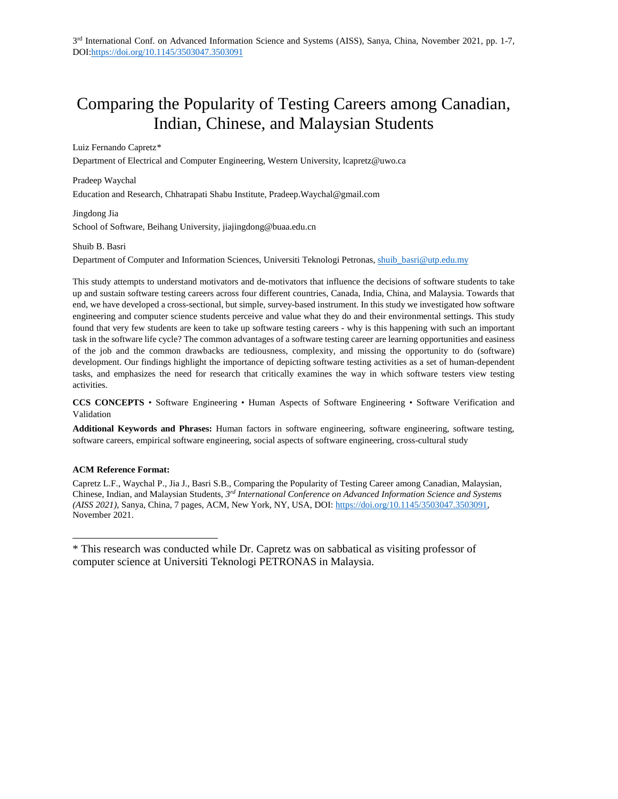# Comparing the Popularity of Testing Careers among Canadian, Indian, Chinese, and Malaysian Students

#### Luiz Fernando Capretz[\\*](#page-1-0)

Department of Electrical and Computer Engineering, Western University, lcapretz@uwo.ca

Pradeep Waychal Education and Research, Chhatrapati Shabu Institute, Pradeep.Waychal@gmail.com

Jingdong Jia School of Software, Beihang University, jiajingdong@buaa.edu.cn

#### Shuib B. Basri

Department of Computer and Information Sciences, Universiti Teknologi Petronas, [shuib\\_basri@utp.edu.my](mailto:shuib_basri@utp.edu.my)

This study attempts to understand motivators and de-motivators that influence the decisions of software students to take up and sustain software testing careers across four different countries, Canada, India, China, and Malaysia. Towards that end, we have developed a cross-sectional, but simple, survey-based instrument. In this study we investigated how software engineering and computer science students perceive and value what they do and their environmental settings. This study found that very few students are keen to take up software testing careers - why is this happening with such an important task in the software life cycle? The common advantages of a software testing career are learning opportunities and easiness of the job and the common drawbacks are tediousness, complexity, and missing the opportunity to do (software) development. Our findings highlight the importance of depicting software testing activities as a set of human-dependent tasks, and emphasizes the need for research that critically examines the way in which software testers view testing activities.

**CCS CONCEPTS** • Software Engineering • Human Aspects of Software Engineering • Software Verification and Validation

**Additional Keywords and Phrases:** Human factors in software engineering, software engineering, software testing, software careers, empirical software engineering, social aspects of software engineering, cross-cultural study

#### **ACM Reference Format:**

 $\overline{a}$ 

Capretz L.F., Waychal P., Jia J., Basri S.B., Comparing the Popularity of Testing Career among Canadian, Malaysian, Chinese, Indian, and Malaysian Students, *3rd International Conference on Advanced Information Science and Systems (AISS 2021)*, Sanya, China, 7 pages, ACM, New York, NY, USA, DOI: [https://doi.org/10.1145/3503047.3503091,](https://doi.org/10.1145/3503047.3503091) November 2021.

<span id="page-1-0"></span><sup>\*</sup> This research was conducted while Dr. Capretz was on sabbatical as visiting professor of computer science at Universiti Teknologi PETRONAS in Malaysia.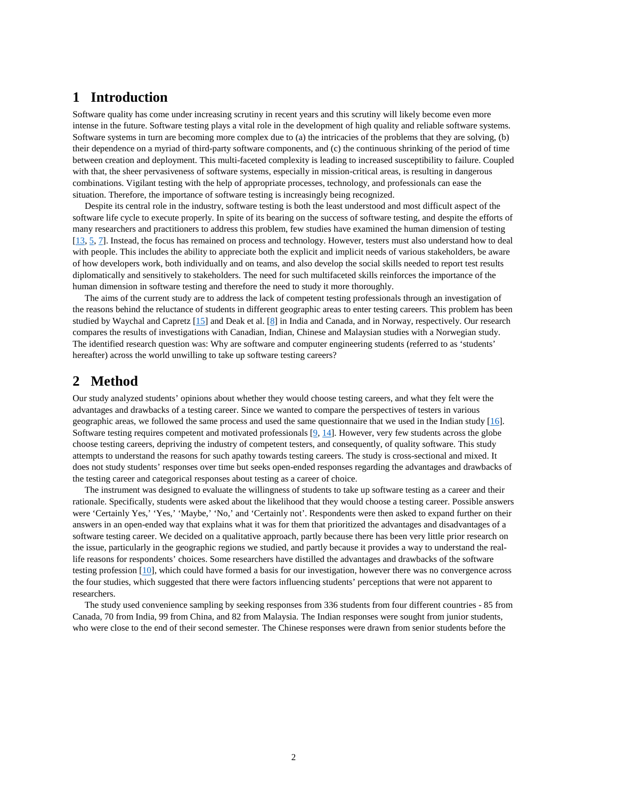# **1 Introduction**

Software quality has come under increasing scrutiny in recent years and this scrutiny will likely become even more intense in the future. Software testing plays a vital role in the development of high quality and reliable software systems. Software systems in turn are becoming more complex due to (a) the intricacies of the problems that they are solving, (b) their dependence on a myriad of third-party software components, and (c) the continuous shrinking of the period of time between creation and deployment. This multi-faceted complexity is leading to increased susceptibility to failure. Coupled with that, the sheer pervasiveness of software systems, especially in mission-critical areas, is resulting in dangerous combinations. Vigilant testing with the help of appropriate processes, technology, and professionals can ease the situation. Therefore, the importance of software testing is increasingly being recognized.

Despite its central role in the industry, software testing is both the least understood and most difficult aspect of the software life cycle to execute properly. In spite of its bearing on the success of software testing, and despite the efforts of many researchers and practitioners to address this problem, few studies have examined the human dimension of testing [\[13,](#page-9-0) [5,](#page-9-1) [7\]](#page-9-2). Instead, the focus has remained on process and technology. However, testers must also understand how to deal with people. This includes the ability to appreciate both the explicit and implicit needs of various stakeholders, be aware of how developers work, both individually and on teams, and also develop the social skills needed to report test results diplomatically and sensitively to stakeholders. The need for such multifaceted skills reinforces the importance of the human dimension in software testing and therefore the need to study it more thoroughly.

The aims of the current study are to address the lack of competent testing professionals through an investigation of the reasons behind the reluctance of students in different geographic areas to enter testing careers. This problem has been studied by Waychal and Capretz [\[15\]](#page-10-0) and Deak et al. [\[8\]](#page-9-3) in India and Canada, and in Norway, respectively. Our research compares the results of investigations with Canadian, Indian, Chinese and Malaysian studies with a Norwegian study. The identified research question was: Why are software and computer engineering students (referred to as 'students' hereafter) across the world unwilling to take up software testing careers?

### **2 Method**

Our study analyzed students' opinions about whether they would choose testing careers, and what they felt were the advantages and drawbacks of a testing career. Since we wanted to compare the perspectives of testers in various geographic areas, we followed the same process and used the same questionnaire that we used in the Indian study [\[16\]](#page-10-1). Software testing requires competent and motivated professionals  $[9, 14]$  $[9, 14]$ . However, very few students across the globe choose testing careers, depriving the industry of competent testers, and consequently, of quality software. This study attempts to understand the reasons for such apathy towards testing careers. The study is cross-sectional and mixed. It does not study students' responses over time but seeks open-ended responses regarding the advantages and drawbacks of the testing career and categorical responses about testing as a career of choice.

The instrument was designed to evaluate the willingness of students to take up software testing as a career and their rationale. Specifically, students were asked about the likelihood that they would choose a testing career. Possible answers were 'Certainly Yes,' 'Yes,' 'Maybe,' 'No,' and 'Certainly not'. Respondents were then asked to expand further on their answers in an open-ended way that explains what it was for them that prioritized the advantages and disadvantages of a software testing career. We decided on a qualitative approach, partly because there has been very little prior research on the issue, particularly in the geographic regions we studied, and partly because it provides a way to understand the reallife reasons for respondents' choices. Some researchers have distilled the advantages and drawbacks of the software testing profession [\[10\]](#page-9-5), which could have formed a basis for our investigation, however there was no convergence across the four studies, which suggested that there were factors influencing students' perceptions that were not apparent to researchers.

The study used convenience sampling by seeking responses from 336 students from four different countries - 85 from Canada, 70 from India, 99 from China, and 82 from Malaysia. The Indian responses were sought from junior students, who were close to the end of their second semester. The Chinese responses were drawn from senior students before the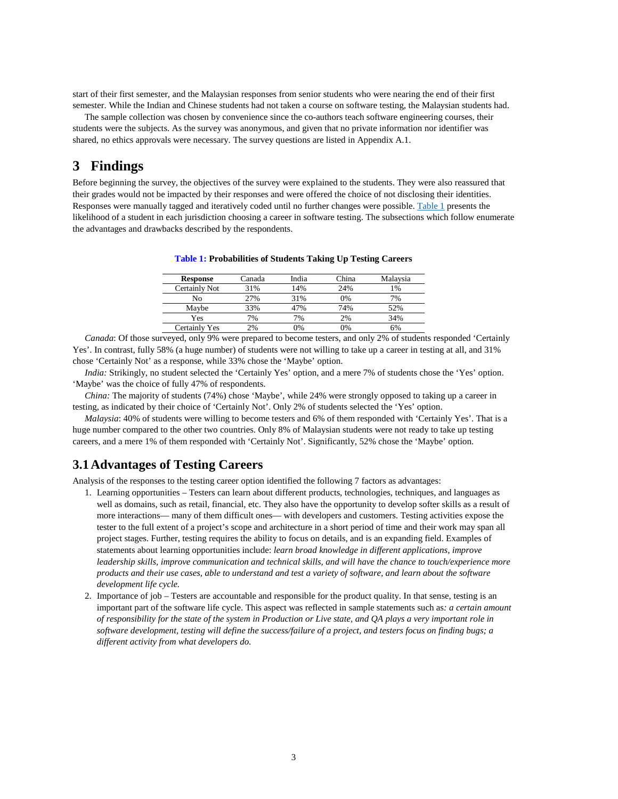start of their first semester, and the Malaysian responses from senior students who were nearing the end of their first semester. While the Indian and Chinese students had not taken a course on software testing, the Malaysian students had.

The sample collection was chosen by convenience since the co-authors teach software engineering courses, their students were the subjects. As the survey was anonymous, and given that no private information nor identifier was shared, no ethics approvals were necessary. The survey questions are listed in Appendix A.1.

# **3 Findings**

<span id="page-3-0"></span>Before beginning the survey, the objectives of the survey were explained to the students. They were also reassured that their grades would not be impacted by their responses and were offered the choice of not disclosing their identities. Responses were manually tagged and iteratively coded until no further changes were possible[. Table 1](#page-3-0) presents the likelihood of a student in each jurisdiction choosing a career in software testing. The subsections which follow enumerate the advantages and drawbacks described by the respondents.

| <b>Response</b> | Canada | India | China | Malaysia |
|-----------------|--------|-------|-------|----------|
| Certainly Not   | 31%    | 14%   | 24%   | 1%       |
| Nο              | 27%    | 31%   | 0%    | 7%       |
| Maybe           | 33%    | 47%   | 74%   | 52%      |
| Yes             | 7%     | 7%    | 2%    | 34%      |
| Certainly Yes   | 2%     | 0%    | 9%    | 6%       |

**Table 1: Probabilities of Students Taking Up Testing Careers**

*Canada*: Of those surveyed, only 9% were prepared to become testers, and only 2% of students responded 'Certainly Yes'. In contrast, fully 58% (a huge number) of students were not willing to take up a career in testing at all, and 31% chose 'Certainly Not' as a response, while 33% chose the 'Maybe' option.

*India:* Strikingly, no student selected the 'Certainly Yes' option, and a mere 7% of students chose the 'Yes' option. 'Maybe' was the choice of fully 47% of respondents.

*China:* The majority of students (74%) chose 'Maybe', while 24% were strongly opposed to taking up a career in testing, as indicated by their choice of 'Certainly Not'. Only 2% of students selected the 'Yes' option.

*Malaysia*: 40% of students were willing to become testers and 6% of them responded with 'Certainly Yes'. That is a huge number compared to the other two countries. Only 8% of Malaysian students were not ready to take up testing careers, and a mere 1% of them responded with 'Certainly Not'. Significantly, 52% chose the 'Maybe' option.

### **3.1Advantages of Testing Careers**

Analysis of the responses to the testing career option identified the following 7 factors as advantages:

- 1. Learning opportunities Testers can learn about different products, technologies, techniques, and languages as well as domains, such as retail, financial, etc. They also have the opportunity to develop softer skills as a result of more interactions— many of them difficult ones— with developers and customers. Testing activities expose the tester to the full extent of a project's scope and architecture in a short period of time and their work may span all project stages. Further, testing requires the ability to focus on details, and is an expanding field. Examples of statements about learning opportunities include: *learn broad knowledge in different applications, improve leadership skills, improve communication and technical skills, and will have the chance to touch/experience more products and their use cases, able to understand and test a variety of software, and learn about the software development life cycle.*
- 2. Importance of job Testers are accountable and responsible for the product quality. In that sense, testing is an important part of the software life cycle. This aspect was reflected in sample statements such as*: a certain amount of responsibility for the state of the system in Production or Live state, and QA plays a very important role in software development, testing will define the success/failure of a project, and testers focus on finding bugs; a different activity from what developers do.*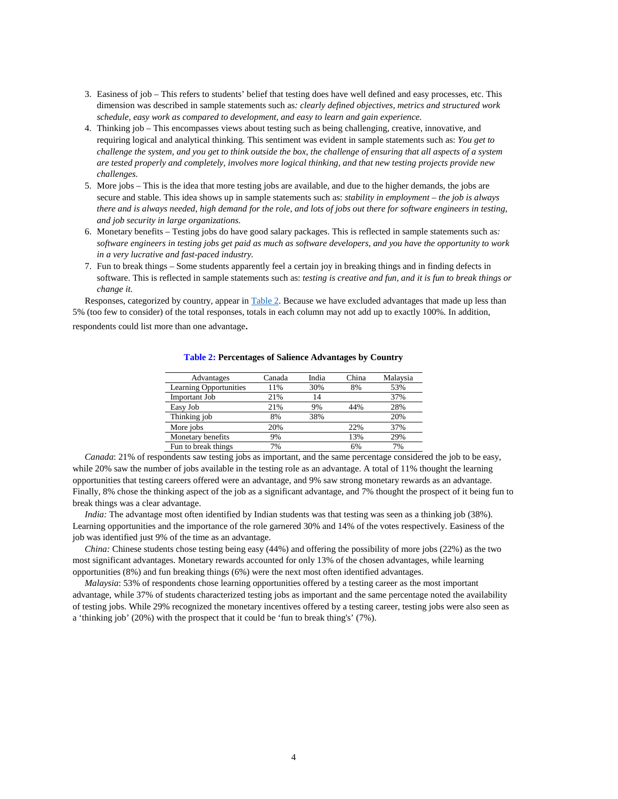- 3. Easiness of job This refers to students' belief that testing does have well defined and easy processes, etc. This dimension was described in sample statements such as*: clearly defined objectives, metrics and structured work schedule, easy work as compared to development, and easy to learn and gain experience.*
- 4. Thinking job This encompasses views about testing such as being challenging, creative, innovative, and requiring logical and analytical thinking. This sentiment was evident in sample statements such as: *You get to challenge the system, and you get to think outside the box, the challenge of ensuring that all aspects of a system are tested properly and completely, involves more logical thinking, and that new testing projects provide new challenges.*
- 5. More jobs This is the idea that more testing jobs are available, and due to the higher demands, the jobs are secure and stable. This idea shows up in sample statements such as: *stability in employment – the job is always there and is always needed, high demand for the role, and lots of jobs out there for software engineers in testing, and job security in large organizations.*
- 6. Monetary benefits Testing jobs do have good salary packages. This is reflected in sample statements such as*: software engineers in testing jobs get paid as much as software developers, and you have the opportunity to work in a very lucrative and fast-paced industry.*
- 7. Fun to break things Some students apparently feel a certain joy in breaking things and in finding defects in software. This is reflected in sample statements such as: *testing is creative and fun, and it is fun to break things or change it.*

Responses, categorized by country, appear in [Table 2.](#page-4-0) Because we have excluded advantages that made up less than 5% (too few to consider) of the total responses, totals in each column may not add up to exactly 100%. In addition,

<span id="page-4-0"></span>respondents could list more than one advantage.

| Advantages                    | Canada | India | China | Malaysia |
|-------------------------------|--------|-------|-------|----------|
| <b>Learning Opportunities</b> | 11%    | 30%   | 8%    | 53%      |
| Important Job                 | 21%    | 14    |       | 37%      |
| Easy Job                      | 21%    | 9%    | 44%   | 28%      |
| Thinking job                  | 8%     | 38%   |       | 20%      |
| More jobs                     | 20%    |       | 22%   | 37%      |
| Monetary benefits             | 9%     |       | 13%   | 29%      |
| Fun to break things           | 7%     |       | 6%    | 7%       |

#### **Table 2: Percentages of Salience Advantages by Country**

*Canada*: 21% of respondents saw testing jobs as important, and the same percentage considered the job to be easy, while 20% saw the number of jobs available in the testing role as an advantage. A total of 11% thought the learning opportunities that testing careers offered were an advantage, and 9% saw strong monetary rewards as an advantage. Finally, 8% chose the thinking aspect of the job as a significant advantage, and 7% thought the prospect of it being fun to break things was a clear advantage.

*India:* The advantage most often identified by Indian students was that testing was seen as a thinking job (38%). Learning opportunities and the importance of the role garnered 30% and 14% of the votes respectively. Easiness of the job was identified just 9% of the time as an advantage.

*China:* Chinese students chose testing being easy (44%) and offering the possibility of more jobs (22%) as the two most significant advantages. Monetary rewards accounted for only 13% of the chosen advantages, while learning opportunities (8%) and fun breaking things (6%) were the next most often identified advantages.

*Malaysia*: 53% of respondents chose learning opportunities offered by a testing career as the most important advantage, while 37% of students characterized testing jobs as important and the same percentage noted the availability of testing jobs. While 29% recognized the monetary incentives offered by a testing career, testing jobs were also seen as a 'thinking job' (20%) with the prospect that it could be 'fun to break thing's' (7%).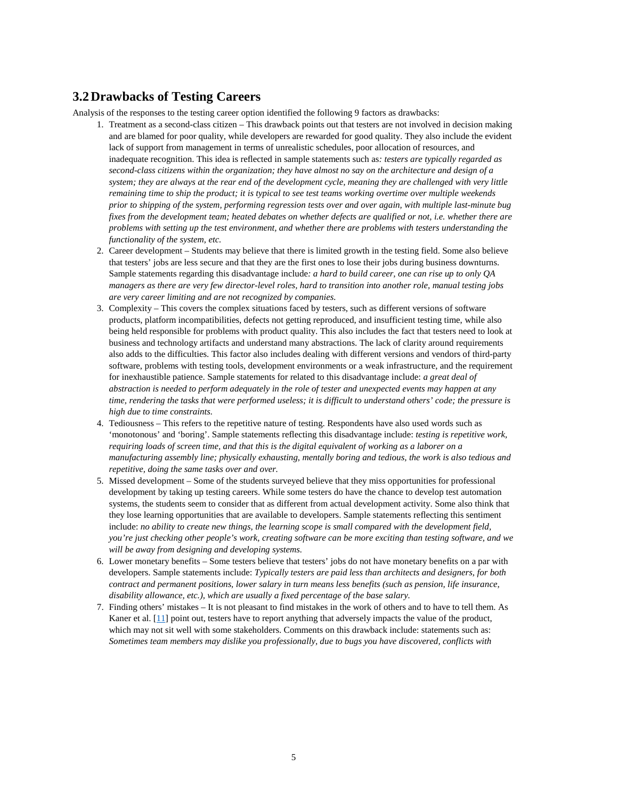### **3.2Drawbacks of Testing Careers**

Analysis of the responses to the testing career option identified the following 9 factors as drawbacks:

- 1. Treatment as a second-class citizen This drawback points out that testers are not involved in decision making and are blamed for poor quality, while developers are rewarded for good quality. They also include the evident lack of support from management in terms of unrealistic schedules, poor allocation of resources, and inadequate recognition. This idea is reflected in sample statements such as*: testers are typically regarded as second-class citizens within the organization; they have almost no say on the architecture and design of a system; they are always at the rear end of the development cycle, meaning they are challenged with very little remaining time to ship the product; it is typical to see test teams working overtime over multiple weekends prior to shipping of the system, performing regression tests over and over again, with multiple last-minute bug fixes from the development team; heated debates on whether defects are qualified or not, i.e. whether there are problems with setting up the test environment, and whether there are problems with testers understanding the functionality of the system, etc.*
- 2. Career development Students may believe that there is limited growth in the testing field. Some also believe that testers' jobs are less secure and that they are the first ones to lose their jobs during business downturns. Sample statements regarding this disadvantage include*: a hard to build career, one can rise up to only QA managers as there are very few director-level roles, hard to transition into another role, manual testing jobs are very career limiting and are not recognized by companies.*
- 3. Complexity This covers the complex situations faced by testers, such as different versions of software products, platform incompatibilities, defects not getting reproduced, and insufficient testing time, while also being held responsible for problems with product quality. This also includes the fact that testers need to look at business and technology artifacts and understand many abstractions. The lack of clarity around requirements also adds to the difficulties. This factor also includes dealing with different versions and vendors of third-party software, problems with testing tools, development environments or a weak infrastructure, and the requirement for inexhaustible patience. Sample statements for related to this disadvantage include: *a great deal of abstraction is needed to perform adequately in the role of tester and unexpected events may happen at any time, rendering the tasks that were performed useless; it is difficult to understand others' code; the pressure is high due to time constraints.*
- 4. Tediousness This refers to the repetitive nature of testing. Respondents have also used words such as 'monotonous' and 'boring'. Sample statements reflecting this disadvantage include: *testing is repetitive work, requiring loads of screen time, and that this is the digital equivalent of working as a laborer on a manufacturing assembly line; physically exhausting, mentally boring and tedious, the work is also tedious and repetitive, doing the same tasks over and over.*
- 5. Missed development Some of the students surveyed believe that they miss opportunities for professional development by taking up testing careers. While some testers do have the chance to develop test automation systems, the students seem to consider that as different from actual development activity. Some also think that they lose learning opportunities that are available to developers. Sample statements reflecting this sentiment include: *no ability to create new things, the learning scope is small compared with the development field, you're just checking other people's work, creating software can be more exciting than testing software, and we will be away from designing and developing systems.*
- 6. Lower monetary benefits Some testers believe that testers' jobs do not have monetary benefits on a par with developers. Sample statements include: *Typically testers are paid less than architects and designers, for both contract and permanent positions, lower salary in turn means less benefits (such as pension, life insurance, disability allowance, etc.), which are usually a fixed percentage of the base salary.*
- 7. Finding others' mistakes It is not pleasant to find mistakes in the work of others and to have to tell them. As Kaner et al. [\[11\]](#page-9-6) point out, testers have to report anything that adversely impacts the value of the product, which may not sit well with some stakeholders. Comments on this drawback include: statements such as: *Sometimes team members may dislike you professionally, due to bugs you have discovered, conflicts with*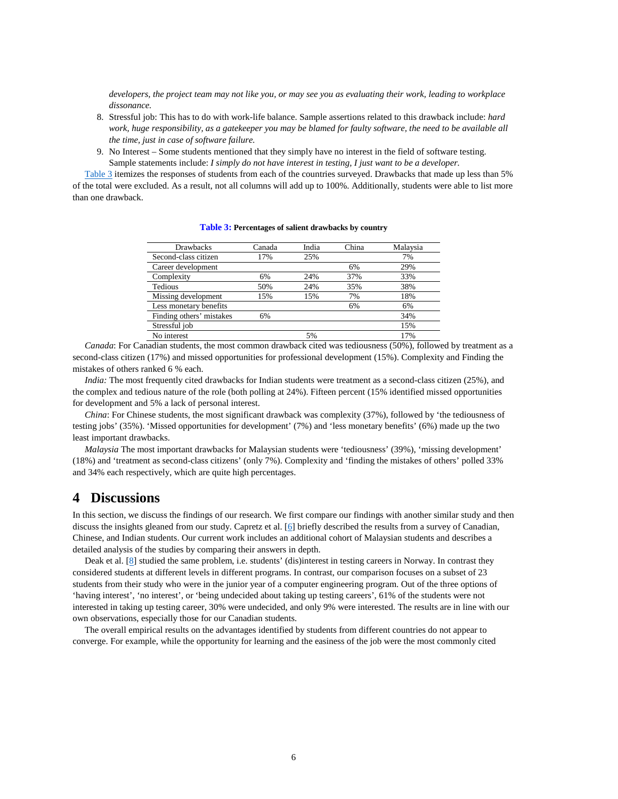*developers, the project team may not like you, or may see you as evaluating their work, leading to workplace dissonance.*

- 8. Stressful job: This has to do with work-life balance. Sample assertions related to this drawback include: *hard*  work, huge responsibility, as a gatekeeper you may be blamed for faulty software, the need to be available all *the time, just in case of software failure.*
- 9. No Interest Some students mentioned that they simply have no interest in the field of software testing. Sample statements include: *I simply do not have interest in testing, I just want to be a developer.*

<span id="page-6-0"></span>[Table 3](#page-6-0) itemizes the responses of students from each of the countries surveyed. Drawbacks that made up less than 5% of the total were excluded. As a result, not all columns will add up to 100%. Additionally, students were able to list more than one drawback.

| <b>Drawbacks</b>         | Canada | India | China | Malaysia |
|--------------------------|--------|-------|-------|----------|
| Second-class citizen     | 17%    | 25%   |       | 7%       |
| Career development       |        |       | 6%    | 29%      |
| Complexity               | 6%     | 24%   | 37%   | 33%      |
| <b>Tedious</b>           | 50%    | 24%   | 35%   | 38%      |
| Missing development      | 15%    | 15%   | 7%    | 18%      |
| Less monetary benefits   |        |       | 6%    | 6%       |
| Finding others' mistakes | 6%     |       |       | 34%      |
| Stressful job            |        |       |       | 15%      |
| No interest              |        | 5%    |       | 17%      |

**Table 3: Percentages of salient drawbacks by country**

*Canada*: For Canadian students, the most common drawback cited was tediousness (50%), followed by treatment as a second-class citizen (17%) and missed opportunities for professional development (15%). Complexity and Finding the mistakes of others ranked 6 % each.

*India:* The most frequently cited drawbacks for Indian students were treatment as a second-class citizen (25%), and the complex and tedious nature of the role (both polling at 24%). Fifteen percent (15% identified missed opportunities for development and 5% a lack of personal interest.

*China*: For Chinese students, the most significant drawback was complexity (37%), followed by 'the tediousness of testing jobs' (35%). 'Missed opportunities for development' (7%) and 'less monetary benefits' (6%) made up the two least important drawbacks.

*Malaysia* The most important drawbacks for Malaysian students were 'tediousness' (39%), 'missing development' (18%) and 'treatment as second-class citizens' (only 7%). Complexity and 'finding the mistakes of others' polled 33% and 34% each respectively, which are quite high percentages.

# **4 Discussions**

In this section, we discuss the findings of our research. We first compare our findings with another similar study and then discuss the insights gleaned from our study. Capretz et al. [\[6\]](#page-9-7) briefly described the results from a survey of Canadian, Chinese, and Indian students. Our current work includes an additional cohort of Malaysian students and describes a detailed analysis of the studies by comparing their answers in depth.

Deak et al. [\[8\]](#page-9-3) studied the same problem, i.e. students' (dis)interest in testing careers in Norway. In contrast they considered students at different levels in different programs. In contrast, our comparison focuses on a subset of 23 students from their study who were in the junior year of a computer engineering program. Out of the three options of 'having interest', 'no interest', or 'being undecided about taking up testing careers', 61% of the students were not interested in taking up testing career, 30% were undecided, and only 9% were interested. The results are in line with our own observations, especially those for our Canadian students.

The overall empirical results on the advantages identified by students from different countries do not appear to converge. For example, while the opportunity for learning and the easiness of the job were the most commonly cited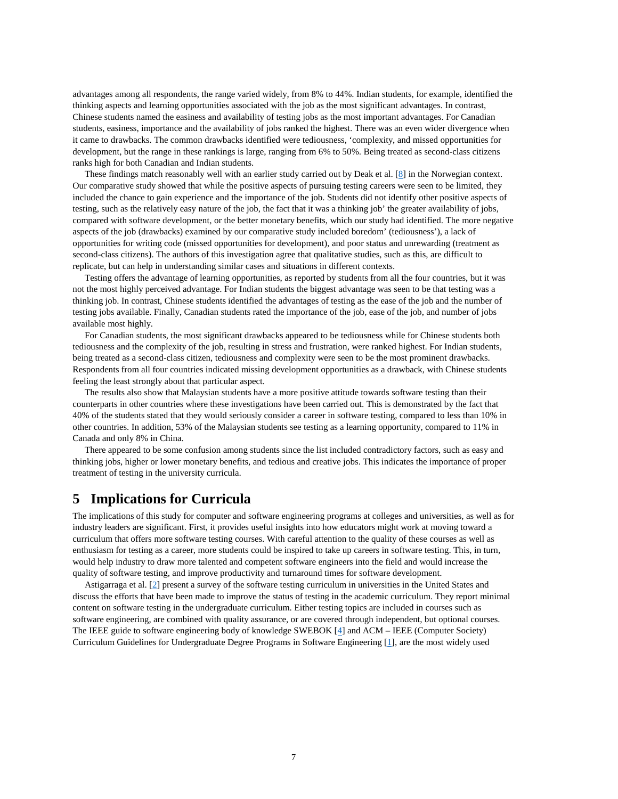advantages among all respondents, the range varied widely, from 8% to 44%. Indian students, for example, identified the thinking aspects and learning opportunities associated with the job as the most significant advantages. In contrast, Chinese students named the easiness and availability of testing jobs as the most important advantages. For Canadian students, easiness, importance and the availability of jobs ranked the highest. There was an even wider divergence when it came to drawbacks. The common drawbacks identified were tediousness, 'complexity, and missed opportunities for development, but the range in these rankings is large, ranging from 6% to 50%. Being treated as second-class citizens ranks high for both Canadian and Indian students.

These findings match reasonably well with an earlier study carried out by Deak et al. [\[8\]](#page-9-3) in the Norwegian context. Our comparative study showed that while the positive aspects of pursuing testing careers were seen to be limited, they included the chance to gain experience and the importance of the job. Students did not identify other positive aspects of testing, such as the relatively easy nature of the job, the fact that it was a thinking job' the greater availability of jobs, compared with software development, or the better monetary benefits, which our study had identified. The more negative aspects of the job (drawbacks) examined by our comparative study included boredom' (tediousness'), a lack of opportunities for writing code (missed opportunities for development), and poor status and unrewarding (treatment as second-class citizens). The authors of this investigation agree that qualitative studies, such as this, are difficult to replicate, but can help in understanding similar cases and situations in different contexts.

Testing offers the advantage of learning opportunities, as reported by students from all the four countries, but it was not the most highly perceived advantage. For Indian students the biggest advantage was seen to be that testing was a thinking job. In contrast, Chinese students identified the advantages of testing as the ease of the job and the number of testing jobs available. Finally, Canadian students rated the importance of the job, ease of the job, and number of jobs available most highly.

For Canadian students, the most significant drawbacks appeared to be tediousness while for Chinese students both tediousness and the complexity of the job, resulting in stress and frustration, were ranked highest. For Indian students, being treated as a second-class citizen, tediousness and complexity were seen to be the most prominent drawbacks. Respondents from all four countries indicated missing development opportunities as a drawback, with Chinese students feeling the least strongly about that particular aspect.

The results also show that Malaysian students have a more positive attitude towards software testing than their counterparts in other countries where these investigations have been carried out. This is demonstrated by the fact that 40% of the students stated that they would seriously consider a career in software testing, compared to less than 10% in other countries. In addition, 53% of the Malaysian students see testing as a learning opportunity, compared to 11% in Canada and only 8% in China.

There appeared to be some confusion among students since the list included contradictory factors, such as easy and thinking jobs, higher or lower monetary benefits, and tedious and creative jobs. This indicates the importance of proper treatment of testing in the university curricula.

## **5 Implications for Curricula**

The implications of this study for computer and software engineering programs at colleges and universities, as well as for industry leaders are significant. First, it provides useful insights into how educators might work at moving toward a curriculum that offers more software testing courses. With careful attention to the quality of these courses as well as enthusiasm for testing as a career, more students could be inspired to take up careers in software testing. This, in turn, would help industry to draw more talented and competent software engineers into the field and would increase the quality of software testing, and improve productivity and turnaround times for software development.

Astigarraga et al. [\[2\]](#page-9-8) present a survey of the software testing curriculum in universities in the United States and discuss the efforts that have been made to improve the status of testing in the academic curriculum. They report minimal content on software testing in the undergraduate curriculum. Either testing topics are included in courses such as software engineering, are combined with quality assurance, or are covered through independent, but optional courses. The IEEE guide to software engineering body of knowledge SWEBOK [\[4\]](#page-9-9) and ACM – IEEE (Computer Society) Curriculum Guidelines for Undergraduate Degree Programs in Software Engineering [\[1\]](#page-9-10), are the most widely used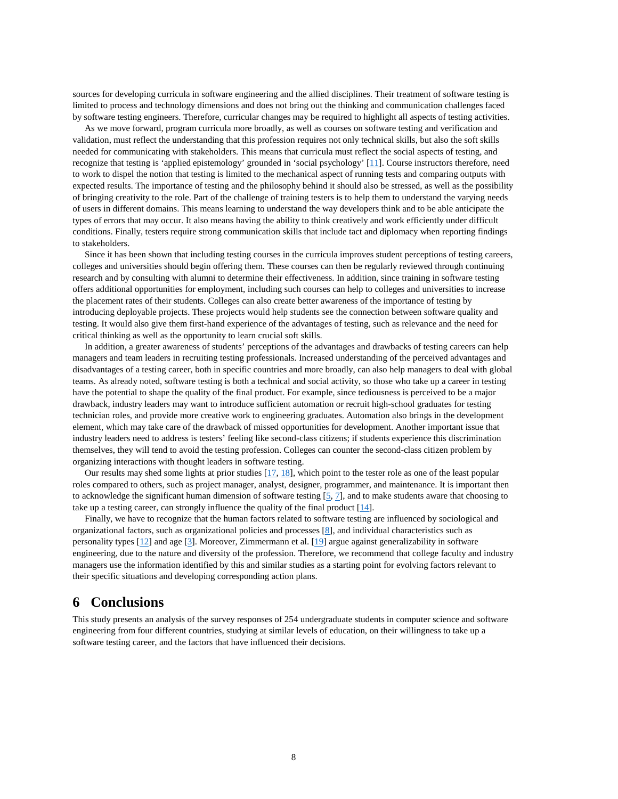sources for developing curricula in software engineering and the allied disciplines. Their treatment of software testing is limited to process and technology dimensions and does not bring out the thinking and communication challenges faced by software testing engineers. Therefore, curricular changes may be required to highlight all aspects of testing activities.

As we move forward, program curricula more broadly, as well as courses on software testing and verification and validation, must reflect the understanding that this profession requires not only technical skills, but also the soft skills needed for communicating with stakeholders. This means that curricula must reflect the social aspects of testing, and recognize that testing is 'applied epistemology' grounded in 'social psychology' [\[11\]](#page-9-6). Course instructors therefore, need to work to dispel the notion that testing is limited to the mechanical aspect of running tests and comparing outputs with expected results. The importance of testing and the philosophy behind it should also be stressed, as well as the possibility of bringing creativity to the role. Part of the challenge of training testers is to help them to understand the varying needs of users in different domains. This means learning to understand the way developers think and to be able anticipate the types of errors that may occur. It also means having the ability to think creatively and work efficiently under difficult conditions. Finally, testers require strong communication skills that include tact and diplomacy when reporting findings to stakeholders.

Since it has been shown that including testing courses in the curricula improves student perceptions of testing careers, colleges and universities should begin offering them. These courses can then be regularly reviewed through continuing research and by consulting with alumni to determine their effectiveness. In addition, since training in software testing offers additional opportunities for employment, including such courses can help to colleges and universities to increase the placement rates of their students. Colleges can also create better awareness of the importance of testing by introducing deployable projects. These projects would help students see the connection between software quality and testing. It would also give them first-hand experience of the advantages of testing, such as relevance and the need for critical thinking as well as the opportunity to learn crucial soft skills.

In addition, a greater awareness of students' perceptions of the advantages and drawbacks of testing careers can help managers and team leaders in recruiting testing professionals. Increased understanding of the perceived advantages and disadvantages of a testing career, both in specific countries and more broadly, can also help managers to deal with global teams. As already noted, software testing is both a technical and social activity, so those who take up a career in testing have the potential to shape the quality of the final product. For example, since tediousness is perceived to be a major drawback, industry leaders may want to introduce sufficient automation or recruit high-school graduates for testing technician roles, and provide more creative work to engineering graduates. Automation also brings in the development element, which may take care of the drawback of missed opportunities for development. Another important issue that industry leaders need to address is testers' feeling like second-class citizens; if students experience this discrimination themselves, they will tend to avoid the testing profession. Colleges can counter the second-class citizen problem by organizing interactions with thought leaders in software testing.

Our results may shed some lights at prior studies [\[17,](#page-10-3) [18\]](#page-10-4), which point to the tester role as one of the least popular roles compared to others, such as project manager, analyst, designer, programmer, and maintenance. It is important then to acknowledge the significant human dimension of software testing  $[5, 7]$  $[5, 7]$ , and to make students aware that choosing to take up a testing career, can strongly influence the quality of the final product [\[14\]](#page-10-2).

Finally, we have to recognize that the human factors related to software testing are influenced by sociological and organizational factors, such as organizational policies and processes [\[8\]](#page-9-3), and individual characteristics such as personality types [\[12\]](#page-9-11) and age [\[3\]](#page-9-12). Moreover, Zimmermann et al. [\[19\]](#page-10-5) argue against generalizability in software engineering, due to the nature and diversity of the profession. Therefore, we recommend that college faculty and industry managers use the information identified by this and similar studies as a starting point for evolving factors relevant to their specific situations and developing corresponding action plans.

### **6 Conclusions**

This study presents an analysis of the survey responses of 254 undergraduate students in computer science and software engineering from four different countries, studying at similar levels of education, on their willingness to take up a software testing career, and the factors that have influenced their decisions.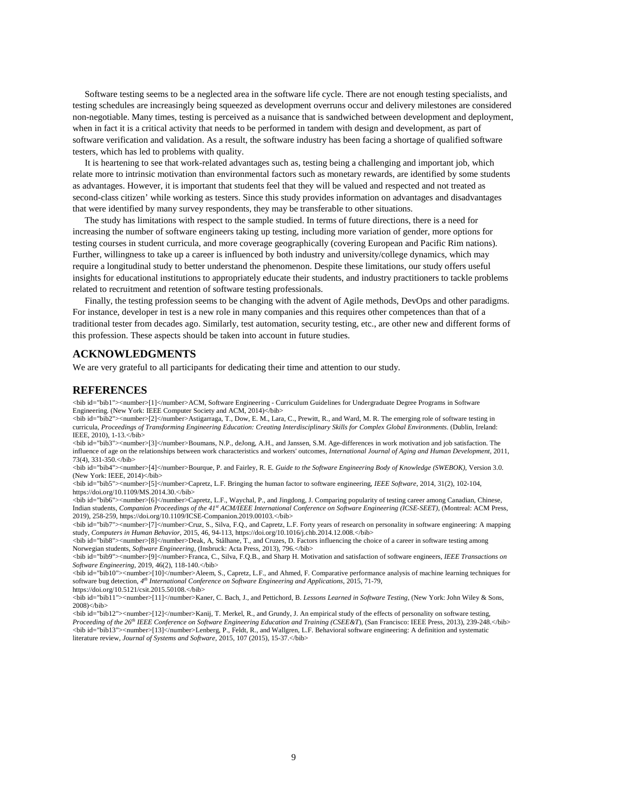Software testing seems to be a neglected area in the software life cycle. There are not enough testing specialists, and testing schedules are increasingly being squeezed as development overruns occur and delivery milestones are considered non-negotiable. Many times, testing is perceived as a nuisance that is sandwiched between development and deployment, when in fact it is a critical activity that needs to be performed in tandem with design and development, as part of software verification and validation. As a result, the software industry has been facing a shortage of qualified software testers, which has led to problems with quality.

It is heartening to see that work-related advantages such as, testing being a challenging and important job, which relate more to intrinsic motivation than environmental factors such as monetary rewards, are identified by some students as advantages. However, it is important that students feel that they will be valued and respected and not treated as second-class citizen' while working as testers. Since this study provides information on advantages and disadvantages that were identified by many survey respondents, they may be transferable to other situations.

The study has limitations with respect to the sample studied. In terms of future directions, there is a need for increasing the number of software engineers taking up testing, including more variation of gender, more options for testing courses in student curricula, and more coverage geographically (covering European and Pacific Rim nations). Further, willingness to take up a career is influenced by both industry and university/college dynamics, which may require a longitudinal study to better understand the phenomenon. Despite these limitations, our study offers useful insights for educational institutions to appropriately educate their students, and industry practitioners to tackle problems related to recruitment and retention of software testing professionals.

Finally, the testing profession seems to be changing with the advent of Agile methods, DevOps and other paradigms. For instance, developer in test is a new role in many companies and this requires other competences than that of a traditional tester from decades ago. Similarly, test automation, security testing, etc., are other new and different forms of this profession. These aspects should be taken into account in future studies.

#### **ACKNOWLEDGMENTS**

We are very grateful to all participants for dedicating their time and attention to our study.

#### **REFERENCES**

<span id="page-9-10"></span><bib id="bib1"><number>[1]</number>ACM, Software Engineering - Curriculum Guidelines for Undergraduate Degree Programs in Software Engineering. (New York: IEEE Computer Society and ACM, 2014)</bib>

<span id="page-9-8"></span><bib id="bib2"><number>[2]</number>Astigarraga, T., Dow, E. M., Lara, C., Prewitt, R., and Ward, M. R. The emerging role of software testing in curricula, *Proceedings of Transforming Engineering Education: Creating Interdisciplinary Skills for Complex Global Environments*. (Dublin, Ireland: IEEE, 2010), 1-13.</bib>

<span id="page-9-12"></span><bib id="bib3"><number>[3]</number>Boumans, N.P., deJong, A.H., and Janssen, S.M. Age-differences in work motivation and job satisfaction. The influence of age on the relationships between work characteristics and workers' outcomes, *International Journal of Aging and Human Development*, 2011,  $73(4)$ ,  $331-350$ ,  $\&$ hib>

<span id="page-9-9"></span><bib id="bib4"><number>[4]</number>Bourque, P. and Fairley, R. E. *Guide to the Software Engineering Body of Knowledge (SWEBOK)*, Version 3.0. (New York: IEEE, 2014)</bib>

<span id="page-9-1"></span><bib id="bib5"><number>[5]</number>Capretz, L.F. Bringing the human factor to software engineering, *IEEE Software*, 2014, 31(2), 102-104, [https://doi.org/10.1109/MS.2014.30.<](https://doi.org/10.1109/MS.2014.30)/bib>

<span id="page-9-7"></span><bib id="bib6"><number>[6]</number>Capretz, L.F., Waychal, P., and Jingdong, J. Comparing popularity of testing career among Canadian, Chinese, Indian students, *Companion Proceedings of the 41st ACM/IEEE International Conference on Software Engineering (ICSE-SEET)*, (Montreal: ACM Press, 2019), 258-259[, https://doi.org/10.1109/ICSE-Companion.2019.00103.<](https://doi.org/10.1109/ICSE-Companion.2019.00103)/bib>

<span id="page-9-2"></span><bib id="bib7"><number>[7]</number>Cruz, S., Silva, F.Q., and Capretz, L.F. Forty years of research on personality in software engineering: A mapping study, *Computers in Human Behavior*, 2015, 46, 94-113[, https://doi.org/10.1016/j.chb.2014.12.008.<](https://doi.org/10.1016/j.chb.2014.12.008)/bib>

<span id="page-9-3"></span><bib id="bib8"><number>[8]</number>Deak, A, Stålhane, T., and Cruzes, D. Factors influencing the choice of a career in software testing among Norwegian students, *Software Engineering*, (Insbruck: Acta Press, 2013), 796.</bib>

<span id="page-9-4"></span><bib id="bib9"><number>[9]</number>Franca, C., Silva, F.Q.B., and Sharp H. Motivation and satisfaction of software engineers, *IEEE Transactions on Software Engineering*, 2019, 46(2), 118-140.</bib>

<span id="page-9-5"></span><bib id="bib10"><number>[10]</number>Aleem, S., Capretz, L.F., and Ahmed, F. Comparative performance analysis of machine learning techniques for software bug detection, *4th International Conference on Software Engineering and Applications*, 2015, 71-79, [https://doi.org/10.5121/csit.2015.50108.<](https://doi.org/10.5121/csit.2015.50108)/bib>

<span id="page-9-6"></span><bib id="bib11"><number>[11]</number>Kaner, C. Bach, J., and Pettichord, B. *Lessons Learned in Software Testing*, (New York: John Wiley & Sons,  $2008$  $<$ /bib $>$ 

<span id="page-9-11"></span><span id="page-9-0"></span><bib id="bib12"><number>[12]</number>Kanij, T. Merkel, R., and Grundy, J. An empirical study of the effects of personality on software testing, *Proceeding of the 26th IEEE Conference on Software Engineering Education and Training (CSEE&T*), (San Francisco: IEEE Press, 2013), 239-248.</bib> <bib id="bib13"><number>[13]</number>Lenberg, P., Feldt, R., and Wallgren, L.F. Behavioral software engineering: A definition and systematic literature review, *Journal of Systems and Software*, 2015, 107 (2015), 15-37.</bib>